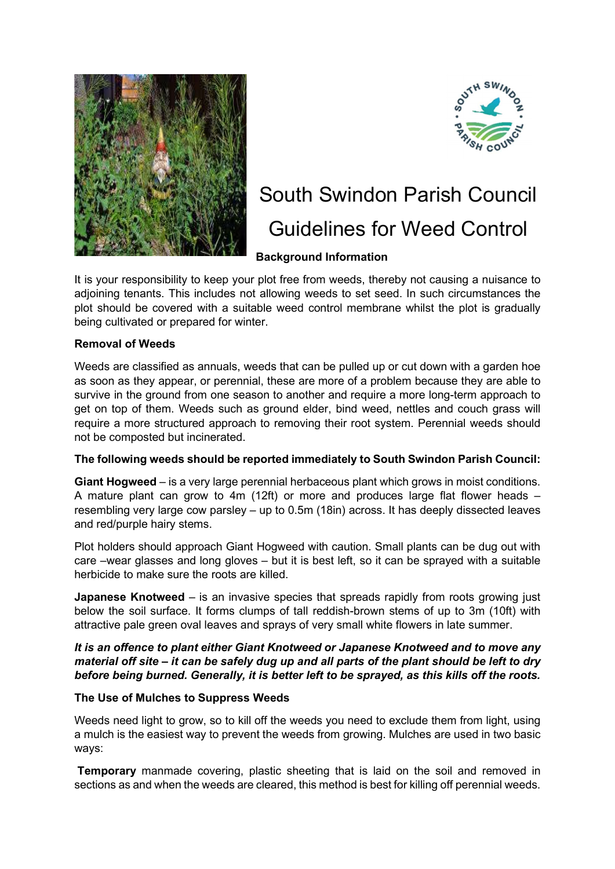



# South Swindon Parish Council Guidelines for Weed Control

# Background Information

It is your responsibility to keep your plot free from weeds, thereby not causing a nuisance to adjoining tenants. This includes not allowing weeds to set seed. In such circumstances the plot should be covered with a suitable weed control membrane whilst the plot is gradually being cultivated or prepared for winter.

# Removal of Weeds

Weeds are classified as annuals, weeds that can be pulled up or cut down with a garden hoe as soon as they appear, or perennial, these are more of a problem because they are able to survive in the ground from one season to another and require a more long-term approach to get on top of them. Weeds such as ground elder, bind weed, nettles and couch grass will require a more structured approach to removing their root system. Perennial weeds should not be composted but incinerated.

# The following weeds should be reported immediately to South Swindon Parish Council:

Giant Hogweed – is a very large perennial herbaceous plant which grows in moist conditions. A mature plant can grow to 4m (12ft) or more and produces large flat flower heads – resembling very large cow parsley – up to 0.5m (18in) across. It has deeply dissected leaves and red/purple hairy stems.

Plot holders should approach Giant Hogweed with caution. Small plants can be dug out with care –wear glasses and long gloves – but it is best left, so it can be sprayed with a suitable herbicide to make sure the roots are killed.

**Japanese Knotweed** – is an invasive species that spreads rapidly from roots growing just below the soil surface. It forms clumps of tall reddish-brown stems of up to 3m (10ft) with attractive pale green oval leaves and sprays of very small white flowers in late summer.

### It is an offence to plant either Giant Knotweed or Japanese Knotweed and to move any material off site – it can be safely dug up and all parts of the plant should be left to dry before being burned. Generally, it is better left to be sprayed, as this kills off the roots.

#### The Use of Mulches to Suppress Weeds

Weeds need light to grow, so to kill off the weeds you need to exclude them from light, using a mulch is the easiest way to prevent the weeds from growing. Mulches are used in two basic ways:

**Temporary** manmade covering, plastic sheeting that is laid on the soil and removed in sections as and when the weeds are cleared, this method is best for killing off perennial weeds.